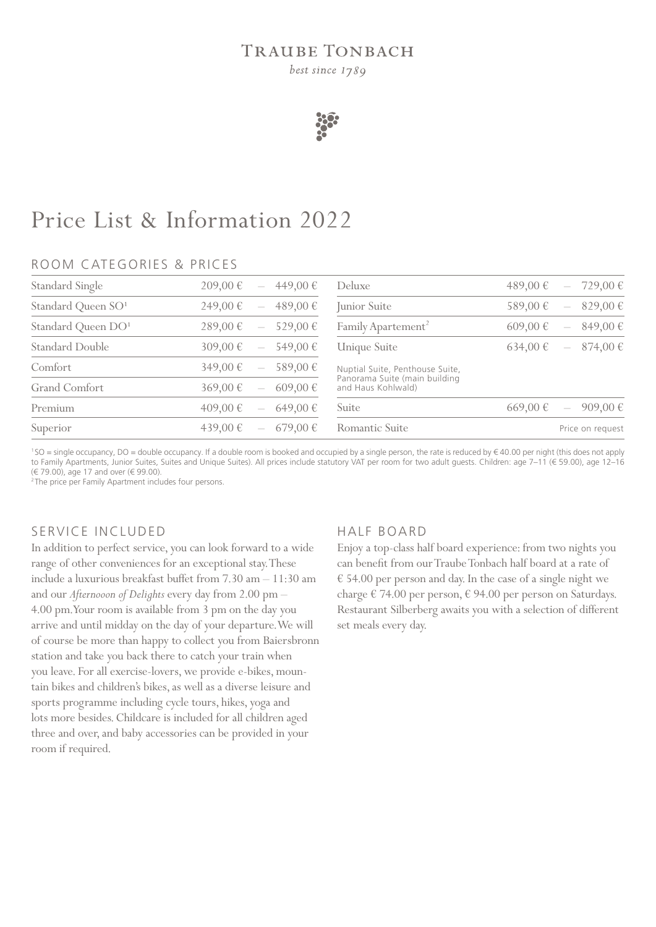## **TRAUBE TONBACH**

best since 1789



# Price List & Information 2022

### ROOM CATEGORIES & PRICES

| 209,00 €<br>449,00 €<br>$\overline{\phantom{a}}$     | Deluxe                                                                                 | 489,00 €<br>729,00€                                   |
|------------------------------------------------------|----------------------------------------------------------------------------------------|-------------------------------------------------------|
| 249,00 €<br>489,00 €<br>$\overline{\phantom{0}}$     | Junior Suite                                                                           | 589,00€<br>829,00 €                                   |
| 529,00 €<br>289,00 €<br>$\overline{\phantom{a}}$     | Family Apartement <sup>2</sup>                                                         | 849,00€<br>$609,00 \notin$                            |
| 309,00 €<br>549,00 €                                 | Unique Suite                                                                           | 874,00€<br>634,00€<br>$\hspace{0.1mm}-\hspace{0.1mm}$ |
| 349,00 €<br>589,00 €                                 | Nuptial Suite, Penthouse Suite,<br>Panorama Suite (main building<br>and Haus Kohlwald) |                                                       |
| 369,00 €<br>$609,00 \in$<br>$\overline{\phantom{m}}$ |                                                                                        |                                                       |
| 409,00 €<br>649,00€<br>$\overline{\phantom{m}}$      | Suite                                                                                  | 669,00€<br>909,00€<br>$\overline{\phantom{m}}$        |
| 439,00 €<br>$679,00 \in$                             | Romantic Suite                                                                         | Price on request                                      |
|                                                      |                                                                                        |                                                       |

<sup>1</sup> SO = single occupancy, DO = double occupancy. If a double room is booked and occupied by a single person, the rate is reduced by € 40.00 per night (this does not apply to Family Apartments, Junior Suites, Suites and Unique Suites). All prices include statutory VAT per room for two adult guests. Children: age 7–11 (€ 59.00), age 12–16 (€ 79.00), age 17 and over (€ 99.00).

<sup>2</sup> The price per Family Apartment includes four persons.

### SERVICE INCLUDED

In addition to perfect service, you can look forward to a wide range of other conveniences for an exceptional stay. These include a luxurious breakfast buffet from 7.30 am – 11:30 am and our *Afternooon of Delights* every day from 2.00 pm – 4.00 pm. Your room is available from 3 pm on the day you arrive and until midday on the day of your departure. We will of course be more than happy to collect you from Baiersbronn station and take you back there to catch your train when you leave. For all exercise-lovers, we provide e-bikes, mountain bikes and children's bikes, as well as a diverse leisure and sports programme including cycle tours, hikes, yoga and lots more besides. Childcare is included for all children aged three and over, and baby accessories can be provided in your room if required.

### HALF BOARD

Enjoy a top-class half board experience: from two nights you can benefit from our Traube Tonbach half board at a rate of € 54.00 per person and day. In the case of a single night we charge € 74.00 per person, € 94.00 per person on Saturdays. Restaurant Silberberg awaits you with a selection of different set meals every day.